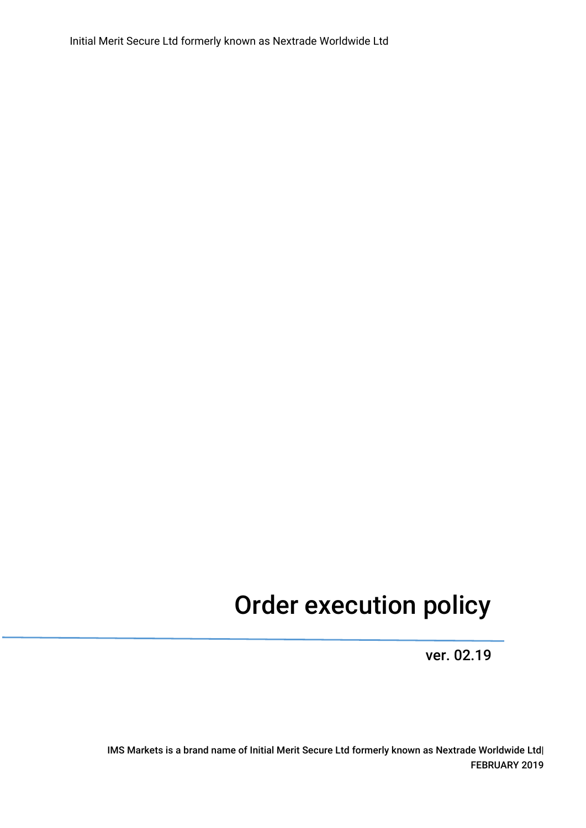Initial Merit Secure Ltd formerly known as Nextrade Worldwide Ltd

# Order execution policy

ver. 02.19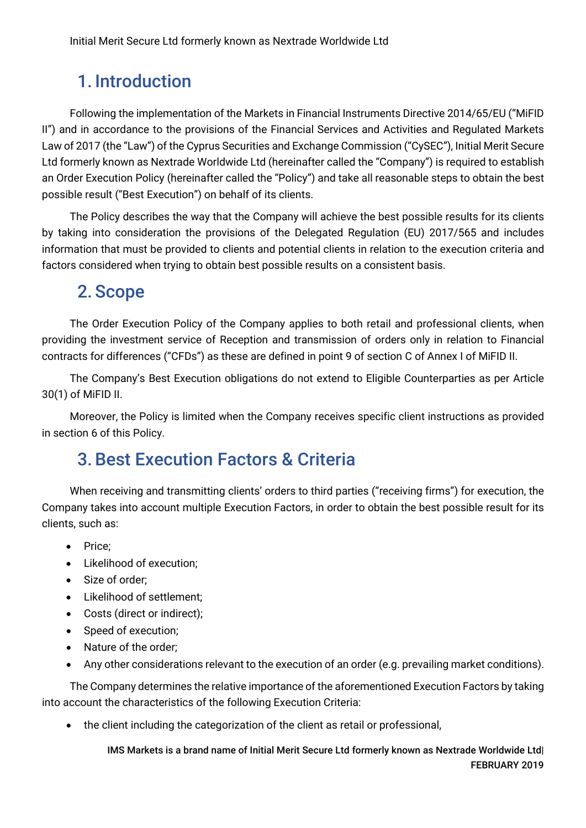### 1. Introduction

Following the implementation of the Markets in Financial Instruments Directive 2014/65/EU ("MiFID II") and in accordance to the provisions of the Financial Services and Activities and Regulated Markets Law of 2017 (the "Law") of the Cyprus Securities and Exchange Commission ("CySEC"), Initial Merit Secure Ltd formerly known as Nextrade Worldwide Ltd (hereinafter called the "Company") is required to establish an Order Execution Policy (hereinafter called the "Policy") and take all reasonable steps to obtain the best possible result ("Best Execution") on behalf of its clients.

The Policy describes the way that the Company will achieve the best possible results for its clients by taking into consideration the provisions of the Delegated Regulation (EU) 2017/565 and includes information that must be provided to clients and potential clients in relation to the execution criteria and factors considered when trying to obtain best possible results on a consistent basis.

### 2. Scope

The Order Execution Policy of the Company applies to both retail and professional clients, when providing the investment service of Reception and transmission of orders only in relation to Financial contracts for differences ("CFDs") as these are defined in point 9 of section C of Annex I of MiFID II.

The Company's Best Execution obligations do not extend to Eligible Counterparties as per Article 30(1) of MiFID II.

Moreover, the Policy is limited when the Company receives specific client instructions as provided in section 6 of this Policy.

### 3.Best Execution Factors & Criteria

When receiving and transmitting clients' orders to third parties ("receiving firms") for execution, the Company takes into account multiple Execution Factors, in order to obtain the best possible result for its clients, such as:

- Price;
- Likelihood of execution;
- Size of order;
- Likelihood of settlement;
- Costs (direct or indirect);
- Speed of execution;
- Nature of the order;
- Any other considerations relevant to the execution of an order (e.g. prevailing market conditions).

The Company determines the relative importance of the aforementioned Execution Factors by taking into account the characteristics of the following Execution Criteria:

• the client including the categorization of the client as retail or professional,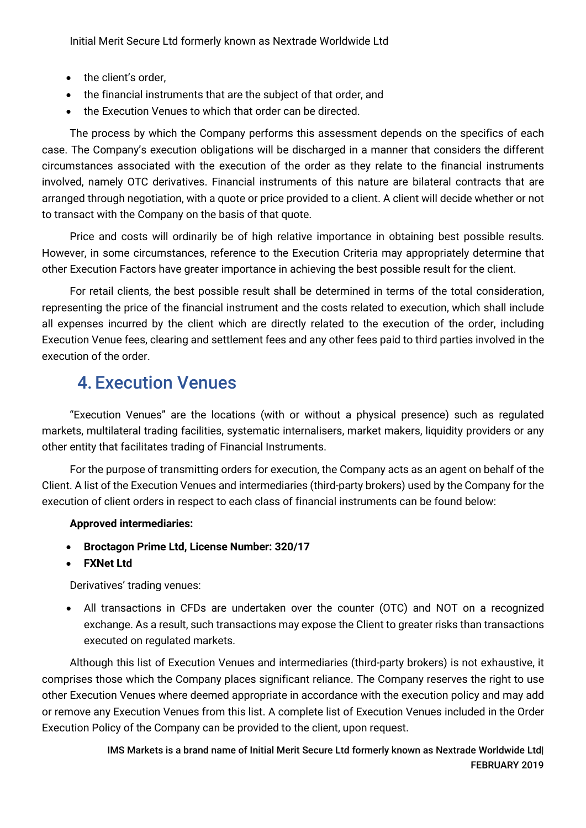Initial Merit Secure Ltd formerly known as Nextrade Worldwide Ltd

- the client's order,
- the financial instruments that are the subject of that order, and
- the Execution Venues to which that order can be directed.

The process by which the Company performs this assessment depends on the specifics of each case. The Company's execution obligations will be discharged in a manner that considers the different circumstances associated with the execution of the order as they relate to the financial instruments involved, namely OTC derivatives. Financial instruments of this nature are bilateral contracts that are arranged through negotiation, with a quote or price provided to a client. A client will decide whether or not to transact with the Company on the basis of that quote.

Price and costs will ordinarily be of high relative importance in obtaining best possible results. However, in some circumstances, reference to the Execution Criteria may appropriately determine that other Execution Factors have greater importance in achieving the best possible result for the client.

For retail clients, the best possible result shall be determined in terms of the total consideration, representing the price of the financial instrument and the costs related to execution, which shall include all expenses incurred by the client which are directly related to the execution of the order, including Execution Venue fees, clearing and settlement fees and any other fees paid to third parties involved in the execution of the order.

### 4. Execution Venues

"Execution Venues" are the locations (with or without a physical presence) such as regulated markets, multilateral trading facilities, systematic internalisers, market makers, liquidity providers or any other entity that facilitates trading of Financial Instruments.

For the purpose of transmitting orders for execution, the Company acts as an agent on behalf of the Client. A list of the Execution Venues and intermediaries (third-party brokers) used by the Company for the execution of client orders in respect to each class of financial instruments can be found below:

#### **Approved intermediaries:**

- **Broctagon Prime Ltd, License Number: 320/17**
- **FXNet Ltd**

Derivatives' trading venues:

• All transactions in CFDs are undertaken over the counter (OTC) and NOT on a recognized exchange. As a result, such transactions may expose the Client to greater risks than transactions executed on regulated markets.

Although this list of Execution Venues and intermediaries (third-party brokers) is not exhaustive, it comprises those which the Company places significant reliance. The Company reserves the right to use other Execution Venues where deemed appropriate in accordance with the execution policy and may add or remove any Execution Venues from this list. A complete list of Execution Venues included in the Order Execution Policy of the Company can be provided to the client, upon request.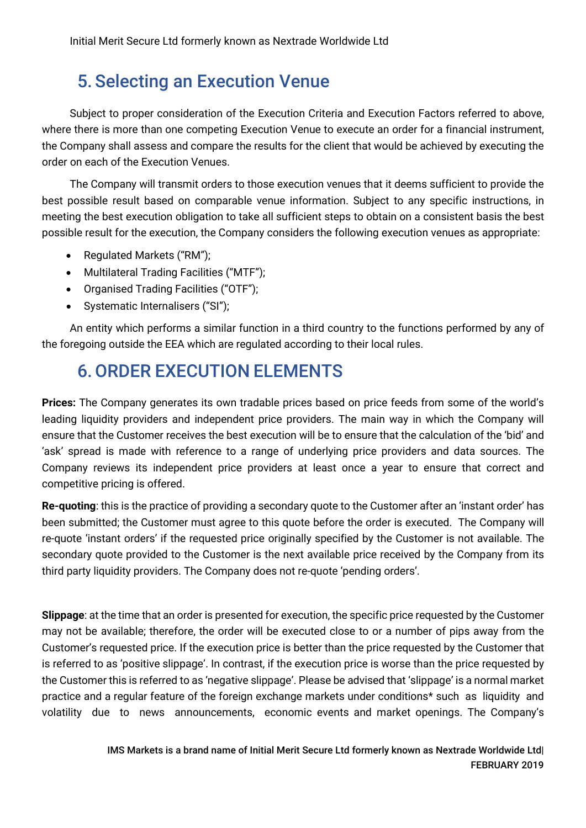### 5. Selecting an Execution Venue

Subject to proper consideration of the Execution Criteria and Execution Factors referred to above, where there is more than one competing Execution Venue to execute an order for a financial instrument, the Company shall assess and compare the results for the client that would be achieved by executing the order on each of the Execution Venues.

The Company will transmit orders to those execution venues that it deems sufficient to provide the best possible result based on comparable venue information. Subject to any specific instructions, in meeting the best execution obligation to take all sufficient steps to obtain on a consistent basis the best possible result for the execution, the Company considers the following execution venues as appropriate:

- Regulated Markets ("RM");
- Multilateral Trading Facilities ("MTF");
- Organised Trading Facilities ("OTF");
- Systematic Internalisers ("SI");

An entity which performs a similar function in a third country to the functions performed by any of the foregoing outside the EEA which are regulated according to their local rules.

### 6.ORDER EXECUTION ELEMENTS

**Prices:** The Company generates its own tradable prices based on price feeds from some of the world's leading liquidity providers and independent price providers. The main way in which the Company will ensure that the Customer receives the best execution will be to ensure that the calculation of the 'bid' and 'ask' spread is made with reference to a range of underlying price providers and data sources. The Company reviews its independent price providers at least once a year to ensure that correct and competitive pricing is offered.

**Re-quoting**: this is the practice of providing a secondary quote to the Customer after an 'instant order' has been submitted; the Customer must agree to this quote before the order is executed. The Company will re-quote 'instant orders' if the requested price originally specified by the Customer is not available. The secondary quote provided to the Customer is the next available price received by the Company from its third party liquidity providers. The Company does not re-quote 'pending orders'.

**Slippage**: at the time that an order is presented for execution, the specific price requested by the Customer may not be available; therefore, the order will be executed close to or a number of pips away from the Customer's requested price. If the execution price is better than the price requested by the Customer that is referred to as 'positive slippage'. In contrast, if the execution price is worse than the price requested by the Customer this is referred to as 'negative slippage'. Please be advised that 'slippage' is a normal market practice and a regular feature of the foreign exchange markets under conditions\* such as liquidity and volatility due to news announcements, economic events and market openings. The Company's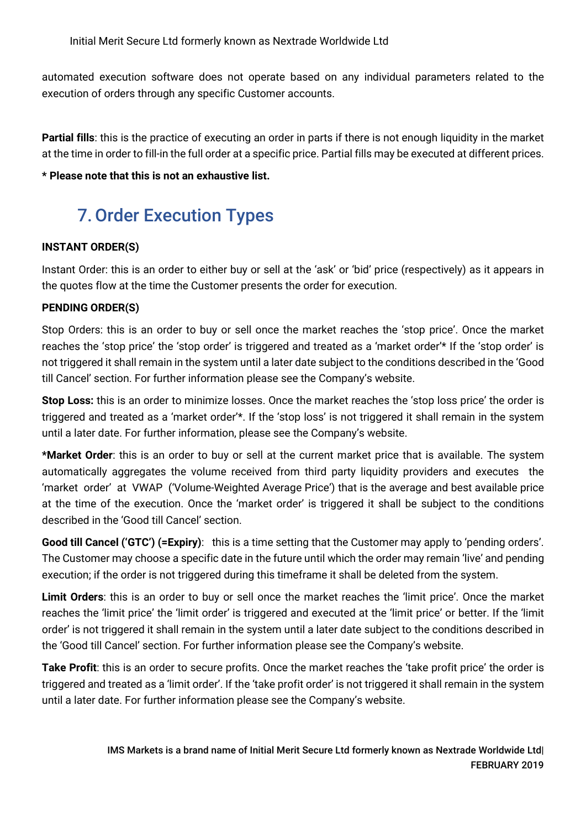automated execution software does not operate based on any individual parameters related to the execution of orders through any specific Customer accounts.

**Partial fills**: this is the practice of executing an order in parts if there is not enough liquidity in the market at the time in order to fill-in the full order at a specific price. Partial fills may be executed at different prices.

#### **\* Please note that this is not an exhaustive list.**

# 7.Order Execution Types

#### **INSTANT ORDER(S)**

Instant Order: this is an order to either buy or sell at the 'ask' or 'bid' price (respectively) as it appears in the quotes flow at the time the Customer presents the order for execution.

#### **PENDING ORDER(S)**

Stop Orders: this is an order to buy or sell once the market reaches the 'stop price'. Once the market reaches the 'stop price' the 'stop order' is triggered and treated as a 'market order'\* If the 'stop order' is not triggered it shall remain in the system until a later date subject to the conditions described in the 'Good till Cancel' section. For further information please see the Company's website.

**Stop Loss:** this is an order to minimize losses. Once the market reaches the 'stop loss price' the order is triggered and treated as a 'market order'\*. If the 'stop loss' is not triggered it shall remain in the system until a later date. For further information, please see the Company's website.

**\*Market Order**: this is an order to buy or sell at the current market price that is available. The system automatically aggregates the volume received from third party liquidity providers and executes the 'market order' at VWAP ('Volume-Weighted Average Price') that is the average and best available price at the time of the execution. Once the 'market order' is triggered it shall be subject to the conditions described in the 'Good till Cancel' section.

**Good till Cancel ('GTC') (=Expiry)**: this is a time setting that the Customer may apply to 'pending orders'. The Customer may choose a specific date in the future until which the order may remain 'live' and pending execution; if the order is not triggered during this timeframe it shall be deleted from the system.

**Limit Orders**: this is an order to buy or sell once the market reaches the 'limit price'. Once the market reaches the 'limit price' the 'limit order' is triggered and executed at the 'limit price' or better. If the 'limit order' is not triggered it shall remain in the system until a later date subject to the conditions described in the 'Good till Cancel' section. For further information please see the Company's website.

**Take Profit**: this is an order to secure profits. Once the market reaches the 'take profit price' the order is triggered and treated as a 'limit order'. If the 'take profit order' is not triggered it shall remain in the system until a later date. For further information please see the Company's website.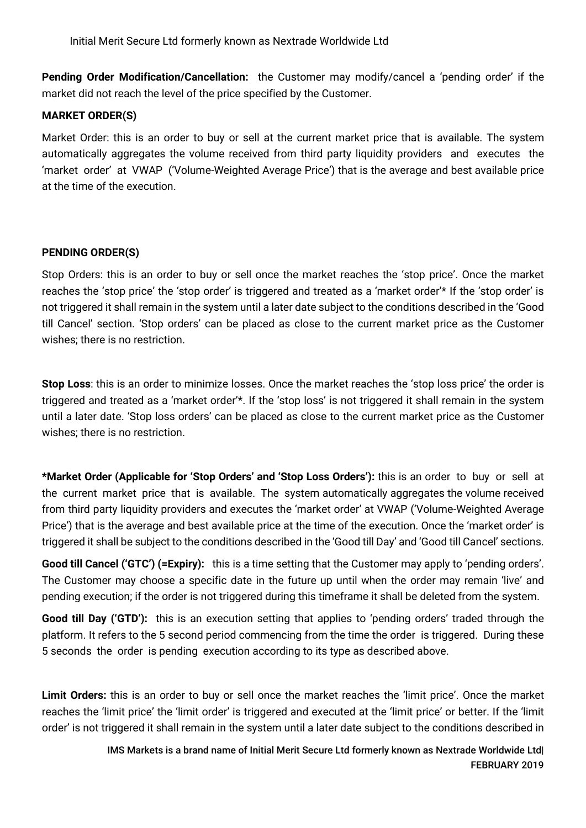**Pending Order Modification/Cancellation:** the Customer may modify/cancel a 'pending order' if the market did not reach the level of the price specified by the Customer.

#### **MARKET ORDER(S)**

Market Order: this is an order to buy or sell at the current market price that is available. The system automatically aggregates the volume received from third party liquidity providers and executes the 'market order' at VWAP ('Volume-Weighted Average Price') that is the average and best available price at the time of the execution.

#### **PENDING ORDER(S)**

Stop Orders: this is an order to buy or sell once the market reaches the 'stop price'. Once the market reaches the 'stop price' the 'stop order' is triggered and treated as a 'market order'\* If the 'stop order' is not triggered it shall remain in the system until a later date subject to the conditions described in the 'Good till Cancel' section. 'Stop orders' can be placed as close to the current market price as the Customer wishes; there is no restriction.

**Stop Loss**: this is an order to minimize losses. Once the market reaches the 'stop loss price' the order is triggered and treated as a 'market order'\*. If the 'stop loss' is not triggered it shall remain in the system until a later date. 'Stop loss orders' can be placed as close to the current market price as the Customer wishes; there is no restriction.

**\*Market Order (Applicable for 'Stop Orders' and 'Stop Loss Orders'):** this is an order to buy or sell at the current market price that is available. The system automatically aggregates the volume received from third party liquidity providers and executes the 'market order' at VWAP ('Volume-Weighted Average Price') that is the average and best available price at the time of the execution. Once the 'market order' is triggered it shall be subject to the conditions described in the 'Good till Day' and 'Good till Cancel' sections.

**Good till Cancel ('GTC') (=Expiry):** this is a time setting that the Customer may apply to 'pending orders'. The Customer may choose a specific date in the future up until when the order may remain 'live' and pending execution; if the order is not triggered during this timeframe it shall be deleted from the system.

**Good till Day ('GTD'):** this is an execution setting that applies to 'pending orders' traded through the platform. It refers to the 5 second period commencing from the time the order is triggered. During these 5 seconds the order is pending execution according to its type as described above.

**Limit Orders:** this is an order to buy or sell once the market reaches the 'limit price'. Once the market reaches the 'limit price' the 'limit order' is triggered and executed at the 'limit price' or better. If the 'limit order' is not triggered it shall remain in the system until a later date subject to the conditions described in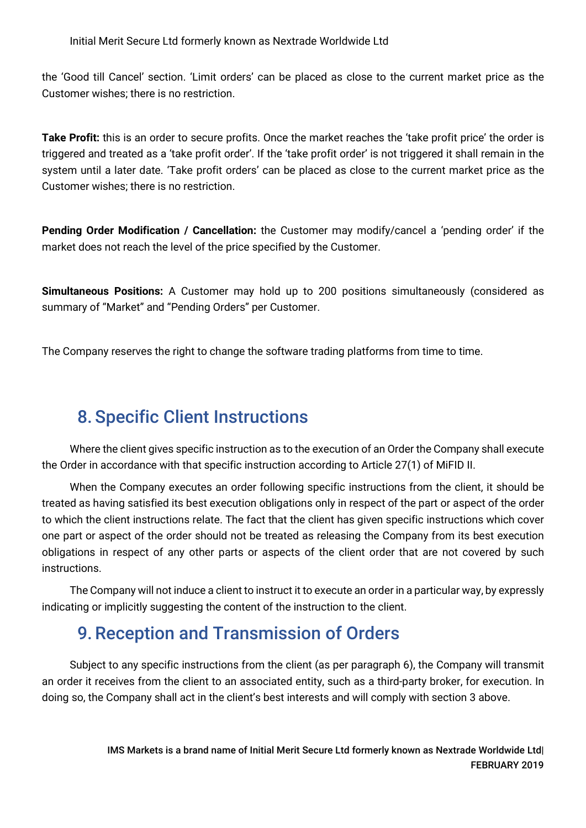the 'Good till Cancel' section. 'Limit orders' can be placed as close to the current market price as the Customer wishes; there is no restriction.

**Take Profit:** this is an order to secure profits. Once the market reaches the 'take profit price' the order is triggered and treated as a 'take profit order'. If the 'take profit order' is not triggered it shall remain in the system until a later date. 'Take profit orders' can be placed as close to the current market price as the Customer wishes; there is no restriction.

**Pending Order Modification / Cancellation:** the Customer may modify/cancel a 'pending order' if the market does not reach the level of the price specified by the Customer.

**Simultaneous Positions:** A Customer may hold up to 200 positions simultaneously (considered as summary of "Market" and "Pending Orders" per Customer.

The Company reserves the right to change the software trading platforms from time to time.

## 8. Specific Client Instructions

Where the client gives specific instruction as to the execution of an Order the Company shall execute the Order in accordance with that specific instruction according to Article 27(1) of MiFID II.

When the Company executes an order following specific instructions from the client, it should be treated as having satisfied its best execution obligations only in respect of the part or aspect of the order to which the client instructions relate. The fact that the client has given specific instructions which cover one part or aspect of the order should not be treated as releasing the Company from its best execution obligations in respect of any other parts or aspects of the client order that are not covered by such instructions.

The Company will not induce a client to instruct it to execute an order in a particular way, by expressly indicating or implicitly suggesting the content of the instruction to the client.

### 9.Reception and Transmission of Orders

Subject to any specific instructions from the client (as per paragraph 6), the Company will transmit an order it receives from the client to an associated entity, such as a third-party broker, for execution. In doing so, the Company shall act in the client's best interests and will comply with section 3 above.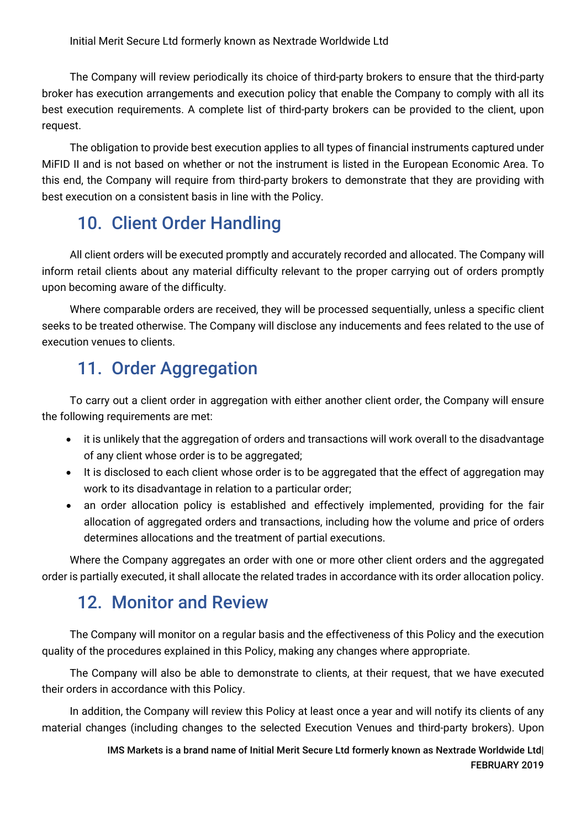The Company will review periodically its choice of third-party brokers to ensure that the third-party broker has execution arrangements and execution policy that enable the Company to comply with all its best execution requirements. A complete list of third-party brokers can be provided to the client, upon request.

The obligation to provide best execution applies to all types of financial instruments captured under MiFID II and is not based on whether or not the instrument is listed in the European Economic Area. To this end, the Company will require from third-party brokers to demonstrate that they are providing with best execution on a consistent basis in line with the Policy.

### 10. Client Order Handling

All client orders will be executed promptly and accurately recorded and allocated. The Company will inform retail clients about any material difficulty relevant to the proper carrying out of orders promptly upon becoming aware of the difficulty.

Where comparable orders are received, they will be processed sequentially, unless a specific client seeks to be treated otherwise. The Company will disclose any inducements and fees related to the use of execution venues to clients.

### 11. Order Aggregation

To carry out a client order in aggregation with either another client order, the Company will ensure the following requirements are met:

- it is unlikely that the aggregation of orders and transactions will work overall to the disadvantage of any client whose order is to be aggregated;
- It is disclosed to each client whose order is to be aggregated that the effect of aggregation may work to its disadvantage in relation to a particular order;
- an order allocation policy is established and effectively implemented, providing for the fair allocation of aggregated orders and transactions, including how the volume and price of orders determines allocations and the treatment of partial executions.

Where the Company aggregates an order with one or more other client orders and the aggregated order is partially executed, it shall allocate the related trades in accordance with its order allocation policy.

### 12. Monitor and Review

The Company will monitor on a regular basis and the effectiveness of this Policy and the execution quality of the procedures explained in this Policy, making any changes where appropriate.

The Company will also be able to demonstrate to clients, at their request, that we have executed their orders in accordance with this Policy.

In addition, the Company will review this Policy at least once a year and will notify its clients of any material changes (including changes to the selected Execution Venues and third-party brokers). Upon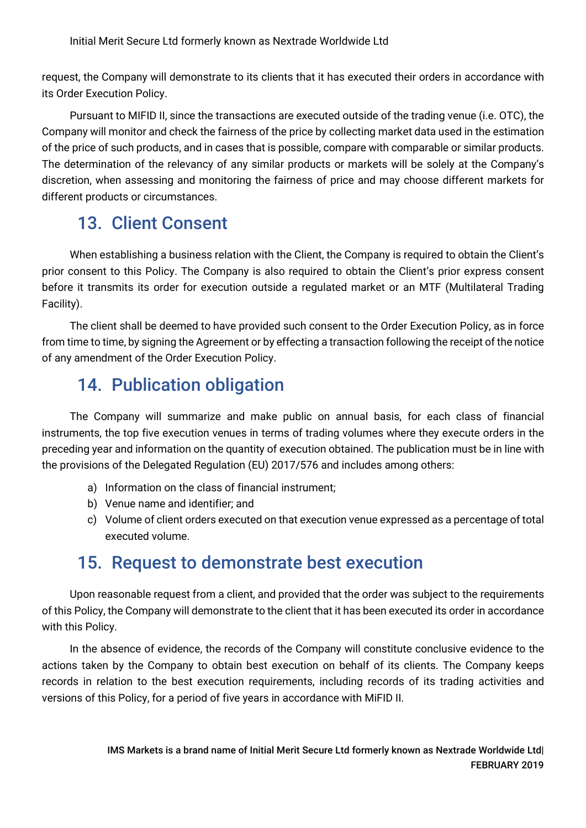request, the Company will demonstrate to its clients that it has executed their orders in accordance with its Order Execution Policy.

Pursuant to MIFID II, since the transactions are executed outside of the trading venue (i.e. OTC), the Company will monitor and check the fairness of the price by collecting market data used in the estimation of the price of such products, and in cases that is possible, compare with comparable or similar products. The determination of the relevancy of any similar products or markets will be solely at the Company's discretion, when assessing and monitoring the fairness of price and may choose different markets for different products or circumstances.

### 13. Client Consent

When establishing a business relation with the Client, the Company is required to obtain the Client's prior consent to this Policy. The Company is also required to obtain the Client's prior express consent before it transmits its order for execution outside a regulated market or an MTF (Multilateral Trading Facility).

The client shall be deemed to have provided such consent to the Order Execution Policy, as in force from time to time, by signing the Agreement or by effecting a transaction following the receipt of the notice of any amendment of the Order Execution Policy.

### 14. Publication obligation

The Company will summarize and make public on annual basis, for each class of financial instruments, the top five execution venues in terms of trading volumes where they execute orders in the preceding year and information on the quantity of execution obtained. The publication must be in line with the provisions of the Delegated Regulation (EU) 2017/576 and includes among others:

- a) Information on the class of financial instrument;
- b) Venue name and identifier; and
- c) Volume of client orders executed on that execution venue expressed as a percentage of total executed volume.

### 15. Request to demonstrate best execution

Upon reasonable request from a client, and provided that the order was subject to the requirements of this Policy, the Company will demonstrate to the client that it has been executed its order in accordance with this Policy.

In the absence of evidence, the records of the Company will constitute conclusive evidence to the actions taken by the Company to obtain best execution on behalf of its clients. The Company keeps records in relation to the best execution requirements, including records of its trading activities and versions of this Policy, for a period of five years in accordance with MiFID II.